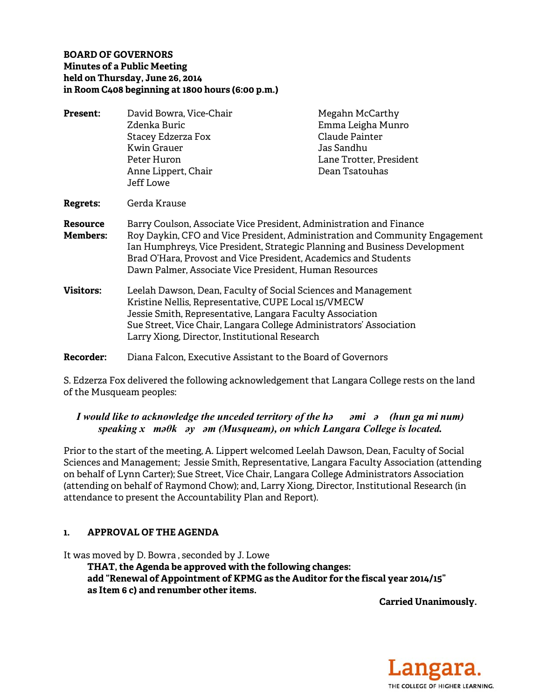#### **BOARD OF GOVERNORS Minutes of a Public Meeting held on Thursday, June 26, 2014 in Room C408 beginning at 1800 hours (6:00 p.m.)**

| Present:                    | David Bowra, Vice-Chair                                                                                                                                                                                                                                                                                                                                       | Megahn McCarthy         |
|-----------------------------|---------------------------------------------------------------------------------------------------------------------------------------------------------------------------------------------------------------------------------------------------------------------------------------------------------------------------------------------------------------|-------------------------|
|                             | Zdenka Buric                                                                                                                                                                                                                                                                                                                                                  | Emma Leigha Munro       |
|                             | Stacey Edzerza Fox                                                                                                                                                                                                                                                                                                                                            | Claude Painter          |
|                             | <b>Kwin Grauer</b>                                                                                                                                                                                                                                                                                                                                            | Jas Sandhu              |
|                             | Peter Huron                                                                                                                                                                                                                                                                                                                                                   | Lane Trotter, President |
|                             | Anne Lippert, Chair                                                                                                                                                                                                                                                                                                                                           | Dean Tsatouhas          |
|                             | Jeff Lowe                                                                                                                                                                                                                                                                                                                                                     |                         |
| <b>Regrets:</b>             | Gerda Krause                                                                                                                                                                                                                                                                                                                                                  |                         |
| Resource<br><b>Members:</b> | Barry Coulson, Associate Vice President, Administration and Finance<br>Roy Daykin, CFO and Vice President, Administration and Community Engagement<br>Ian Humphreys, Vice President, Strategic Planning and Business Development<br>Brad O'Hara, Provost and Vice President, Academics and Students<br>Dawn Palmer, Associate Vice President, Human Resources |                         |
| <b>Visitors:</b>            | Leelah Dawson, Dean, Faculty of Social Sciences and Management<br>Kristine Nellis, Representative, CUPE Local 15/VMECW<br>Jessie Smith, Representative, Langara Faculty Association<br>Sue Street, Vice Chair, Langara College Administrators' Association<br>Larry Xiong, Director, Institutional Research                                                   |                         |
| <b>Recorder:</b>            | Diana Falcon, Executive Assistant to the Board of Governors                                                                                                                                                                                                                                                                                                   |                         |

S. Edzerza Fox delivered the following acknowledgement that Langara College rests on the land of the Musqueam peoples:

# *I would like to acknowledge the unceded territory of the həəmiə (hun ga mi num) speaking xməθkəyəm (Musqueam), on which Langara College is located.*

Prior to the start of the meeting, A. Lippert welcomed Leelah Dawson, Dean, Faculty of Social Sciences and Management; Jessie Smith, Representative, Langara Faculty Association (attending on behalf of Lynn Carter); Sue Street, Vice Chair, Langara College Administrators Association (attending on behalf of Raymond Chow); and, Larry Xiong, Director, Institutional Research (in attendance to present the Accountability Plan and Report).

# **1. APPROVAL OF THE AGENDA**

It was moved by D. Bowra , seconded by J. Lowe

 **THAT, the Agenda be approved with the following changes: add "Renewal of Appointment of KPMG as the Auditor for the fiscal year 2014/15" as Item 6 c) and renumber other items.** 

**Carried Unanimously.** 

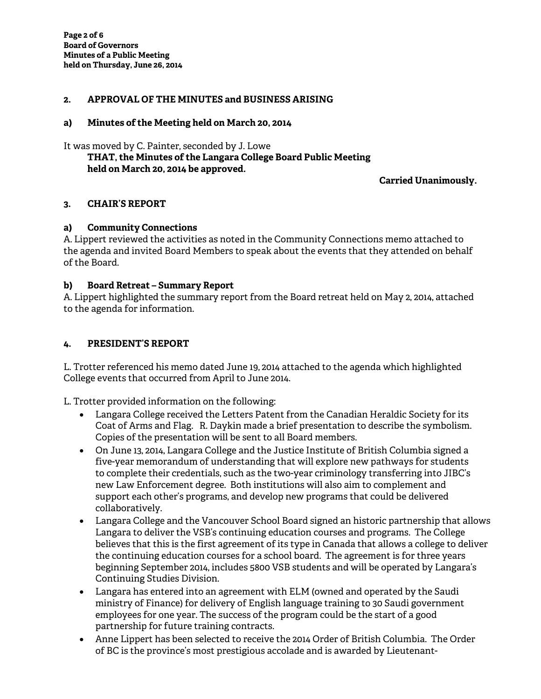### **2. APPROVAL OF THE MINUTES and BUSINESS ARISING**

#### **a) Minutes of the Meeting held on March 20, 2014**

It was moved by C. Painter, seconded by J. Lowe

### **THAT, the Minutes of the Langara College Board Public Meeting held on March 20, 2014 be approved.**

#### **Carried Unanimously.**

#### **3. CHAIR'S REPORT**

#### **a) Community Connections**

A. Lippert reviewed the activities as noted in the Community Connections memo attached to the agenda and invited Board Members to speak about the events that they attended on behalf of the Board.

#### **b) Board Retreat – Summary Report**

A. Lippert highlighted the summary report from the Board retreat held on May 2, 2014, attached to the agenda for information.

#### **4. PRESIDENT'S REPORT**

L. Trotter referenced his memo dated June 19, 2014 attached to the agenda which highlighted College events that occurred from April to June 2014.

L. Trotter provided information on the following:

- Langara College received the Letters Patent from the Canadian Heraldic Society for its Coat of Arms and Flag. R. Daykin made a brief presentation to describe the symbolism. Copies of the presentation will be sent to all Board members.
- On June 13, 2014, Langara College and the Justice Institute of British Columbia signed a five-year memorandum of understanding that will explore new pathways for students to complete their credentials, such as the two-year criminology transferring into JIBC's new Law Enforcement degree. Both institutions will also aim to complement and support each other's programs, and develop new programs that could be delivered collaboratively.
- Langara College and the Vancouver School Board signed an historic partnership that allows Langara to deliver the VSB's continuing education courses and programs. The College believes that this is the first agreement of its type in Canada that allows a college to deliver the continuing education courses for a school board. The agreement is for three years beginning September 2014, includes 5800 VSB students and will be operated by Langara's Continuing Studies Division.
- Langara has entered into an agreement with ELM (owned and operated by the Saudi ministry of Finance) for delivery of English language training to 30 Saudi government employees for one year. The success of the program could be the start of a good partnership for future training contracts.
- Anne Lippert has been selected to receive the 2014 Order of British Columbia. The Order of BC is the province's most prestigious accolade and is awarded by Lieutenant-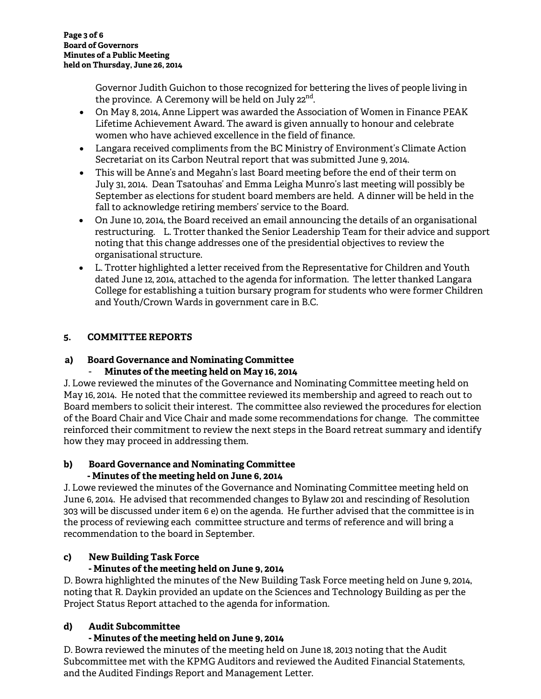Governor Judith Guichon to those recognized for bettering the lives of people living in the province. A Ceremony will be held on July  $22^{nd}$ .

- On May 8, 2014, Anne Lippert was awarded the Association of Women in Finance PEAK Lifetime Achievement Award. The award is given annually to honour and celebrate women who have achieved excellence in the field of finance.
- Langara received compliments from the BC Ministry of Environment's Climate Action Secretariat on its Carbon Neutral report that was submitted June 9, 2014.
- This will be Anne's and Megahn's last Board meeting before the end of their term on July 31, 2014. Dean Tsatouhas' and Emma Leigha Munro's last meeting will possibly be September as elections for student board members are held. A dinner will be held in the fall to acknowledge retiring members' service to the Board.
- On June 10, 2014, the Board received an email announcing the details of an organisational restructuring. L. Trotter thanked the Senior Leadership Team for their advice and support noting that this change addresses one of the presidential objectives to review the organisational structure.
- L. Trotter highlighted a letter received from the Representative for Children and Youth dated June 12, 2014, attached to the agenda for information. The letter thanked Langara College for establishing a tuition bursary program for students who were former Children and Youth/Crown Wards in government care in B.C.

# **5. COMMITTEE REPORTS**

# **a) Board Governance and Nominating Committee**

# - **Minutes of the meeting held on May 16, 2014**

J. Lowe reviewed the minutes of the Governance and Nominating Committee meeting held on May 16, 2014. He noted that the committee reviewed its membership and agreed to reach out to Board members to solicit their interest. The committee also reviewed the procedures for election of the Board Chair and Vice Chair and made some recommendations for change. The committee reinforced their commitment to review the next steps in the Board retreat summary and identify how they may proceed in addressing them.

#### **b) Board Governance and Nominating Committee - Minutes of the meeting held on June 6, 2014**

J. Lowe reviewed the minutes of the Governance and Nominating Committee meeting held on June 6, 2014. He advised that recommended changes to Bylaw 201 and rescinding of Resolution 303 will be discussed under item 6 e) on the agenda. He further advised that the committee is in the process of reviewing each committee structure and terms of reference and will bring a recommendation to the board in September.

# **c) New Building Task Force**

# **- Minutes of the meeting held on June 9, 2014**

D. Bowra highlighted the minutes of the New Building Task Force meeting held on June 9, 2014, noting that R. Daykin provided an update on the Sciences and Technology Building as per the Project Status Report attached to the agenda for information.

# **d) Audit Subcommittee**

# **- Minutes of the meeting held on June 9, 2014**

D. Bowra reviewed the minutes of the meeting held on June 18, 2013 noting that the Audit Subcommittee met with the KPMG Auditors and reviewed the Audited Financial Statements, and the Audited Findings Report and Management Letter.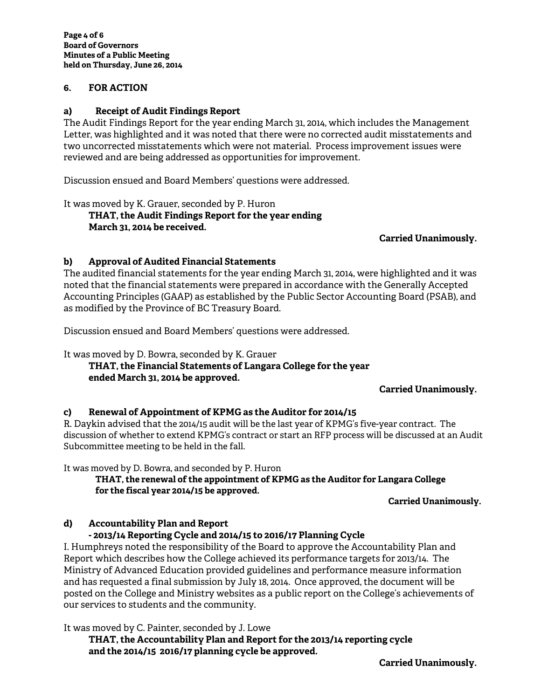#### **6. FOR ACTION**

#### **a) Receipt of Audit Findings Report**

The Audit Findings Report for the year ending March 31, 2014, which includes the Management Letter, was highlighted and it was noted that there were no corrected audit misstatements and two uncorrected misstatements which were not material. Process improvement issues were reviewed and are being addressed as opportunities for improvement.

Discussion ensued and Board Members' questions were addressed.

It was moved by K. Grauer, seconded by P. Huron

 **THAT, the Audit Findings Report for the year ending March 31, 2014 be received.** 

**Carried Unanimously.** 

#### **b) Approval of Audited Financial Statements**

The audited financial statements for the year ending March 31, 2014, were highlighted and it was noted that the financial statements were prepared in accordance with the Generally Accepted Accounting Principles (GAAP) as established by the Public Sector Accounting Board (PSAB), and as modified by the Province of BC Treasury Board.

Discussion ensued and Board Members' questions were addressed.

#### It was moved by D. Bowra, seconded by K. Grauer  **THAT, the Financial Statements of Langara College for the year ended March 31, 2014 be approved.**

#### **Carried Unanimously.**

#### **c) Renewal of Appointment of KPMG as the Auditor for 2014/15**

R. Daykin advised that the 2014/15 audit will be the last year of KPMG's five-year contract. The discussion of whether to extend KPMG's contract or start an RFP process will be discussed at an Audit Subcommittee meeting to be held in the fall.

It was moved by D. Bowra, and seconded by P. Huron

**THAT, the renewal of the appointment of KPMG as the Auditor for Langara College for the fiscal year 2014/15 be approved.** 

#### **Carried Unanimously.**

#### **d) Accountability Plan and Report**

#### **- 2013/14 Reporting Cycle and 2014/15 to 2016/17 Planning Cycle**

I. Humphreys noted the responsibility of the Board to approve the Accountability Plan and Report which describes how the College achieved its performance targets for 2013/14. The Ministry of Advanced Education provided guidelines and performance measure information and has requested a final submission by July 18, 2014. Once approved, the document will be posted on the College and Ministry websites as a public report on the College's achievements of our services to students and the community.

It was moved by C. Painter, seconded by J. Lowe

**THAT, the Accountability Plan and Report for the 2013/14 reporting cycle and the 2014/15 2016/17 planning cycle be approved.** 

**Carried Unanimously.**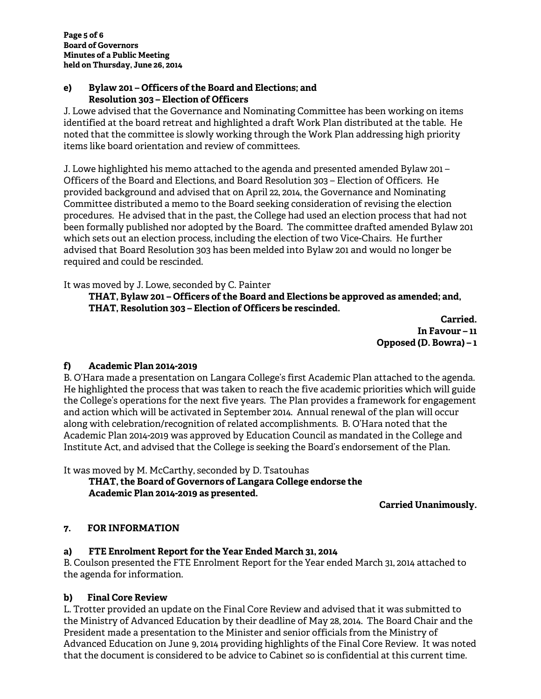#### **e) Bylaw 201 – Officers of the Board and Elections; and Resolution 303 – Election of Officers**

J. Lowe advised that the Governance and Nominating Committee has been working on items identified at the board retreat and highlighted a draft Work Plan distributed at the table. He noted that the committee is slowly working through the Work Plan addressing high priority items like board orientation and review of committees.

J. Lowe highlighted his memo attached to the agenda and presented amended Bylaw 201 – Officers of the Board and Elections, and Board Resolution 303 – Election of Officers. He provided background and advised that on April 22, 2014, the Governance and Nominating Committee distributed a memo to the Board seeking consideration of revising the election procedures. He advised that in the past, the College had used an election process that had not been formally published nor adopted by the Board. The committee drafted amended Bylaw 201 which sets out an election process, including the election of two Vice-Chairs. He further advised that Board Resolution 303 has been melded into Bylaw 201 and would no longer be required and could be rescinded.

It was moved by J. Lowe, seconded by C. Painter

**THAT, Bylaw 201 – Officers of the Board and Elections be approved as amended; and, THAT, Resolution 303 – Election of Officers be rescinded.** 

> **Carried. In Favour – 11 Opposed (D. Bowra) – 1**

# **f) Academic Plan 2014-2019**

B. O'Hara made a presentation on Langara College's first Academic Plan attached to the agenda. He highlighted the process that was taken to reach the five academic priorities which will guide the College's operations for the next five years. The Plan provides a framework for engagement and action which will be activated in September 2014. Annual renewal of the plan will occur along with celebration/recognition of related accomplishments. B. O'Hara noted that the Academic Plan 2014-2019 was approved by Education Council as mandated in the College and Institute Act, and advised that the College is seeking the Board's endorsement of the Plan.

It was moved by M. McCarthy, seconded by D. Tsatouhas

 **THAT, the Board of Governors of Langara College endorse the Academic Plan 2014-2019 as presented.** 

**Carried Unanimously.** 

# **7. FOR INFORMATION**

# **a) FTE Enrolment Report for the Year Ended March 31, 2014**

B. Coulson presented the FTE Enrolment Report for the Year ended March 31, 2014 attached to the agenda for information.

# **b) Final Core Review**

L. Trotter provided an update on the Final Core Review and advised that it was submitted to the Ministry of Advanced Education by their deadline of May 28, 2014. The Board Chair and the President made a presentation to the Minister and senior officials from the Ministry of Advanced Education on June 9, 2014 providing highlights of the Final Core Review. It was noted that the document is considered to be advice to Cabinet so is confidential at this current time.